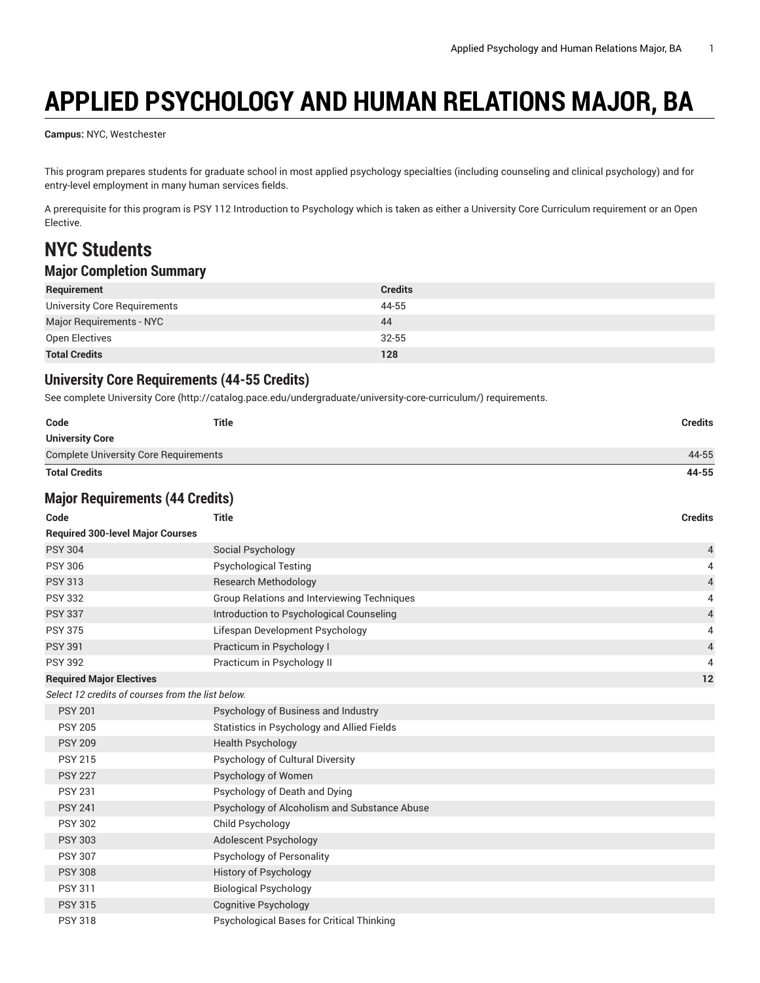# **APPLIED PSYCHOLOGY AND HUMAN RELATIONS MAJOR, BA**

**Campus:** NYC, Westchester

This program prepares students for graduate school in most applied psychology specialties (including counseling and clinical psychology) and for entry-level employment in many human services fields.

A prerequisite for this program is PSY 112 Introduction to Psychology which is taken as either a University Core Curriculum requirement or an Open Elective.

# **NYC Students**

### **Major Completion Summary**

| Requirement                  | <b>Credits</b> |
|------------------------------|----------------|
| University Core Requirements | 44-55          |
| Major Requirements - NYC     | 44             |
| Open Electives               | $32 - 55$      |
| <b>Total Credits</b>         | 128            |

#### **University Core Requirements (44-55 Credits)**

See complete [University](http://catalog.pace.edu/undergraduate/university-core-curriculum/) Core (<http://catalog.pace.edu/undergraduate/university-core-curriculum/>) requirements.

| Code                                              | <b>Title</b>                                 | <b>Credits</b> |
|---------------------------------------------------|----------------------------------------------|----------------|
| <b>University Core</b>                            |                                              |                |
| <b>Complete University Core Requirements</b>      |                                              | 44-55          |
| <b>Total Credits</b>                              |                                              | 44-55          |
| <b>Major Requirements (44 Credits)</b>            |                                              |                |
| Code                                              | <b>Title</b>                                 | <b>Credits</b> |
| <b>Required 300-level Major Courses</b>           |                                              |                |
| <b>PSY 304</b>                                    | Social Psychology                            | 4              |
| <b>PSY 306</b>                                    | <b>Psychological Testing</b>                 | 4              |
| <b>PSY 313</b>                                    | <b>Research Methodology</b>                  | $\sqrt{4}$     |
| <b>PSY 332</b>                                    | Group Relations and Interviewing Techniques  | 4              |
| <b>PSY 337</b>                                    | Introduction to Psychological Counseling     | $\sqrt{4}$     |
| <b>PSY 375</b>                                    | Lifespan Development Psychology              | $\overline{4}$ |
| <b>PSY 391</b>                                    | Practicum in Psychology I                    | $\sqrt{4}$     |
| <b>PSY 392</b>                                    | Practicum in Psychology II                   | 4              |
| <b>Required Major Electives</b>                   |                                              | 12             |
| Select 12 credits of courses from the list below. |                                              |                |
| <b>PSY 201</b>                                    | Psychology of Business and Industry          |                |
| <b>PSY 205</b>                                    | Statistics in Psychology and Allied Fields   |                |
| <b>PSY 209</b>                                    | <b>Health Psychology</b>                     |                |
| <b>PSY 215</b>                                    | Psychology of Cultural Diversity             |                |
| <b>PSY 227</b>                                    | Psychology of Women                          |                |
| <b>PSY 231</b>                                    | Psychology of Death and Dying                |                |
| <b>PSY 241</b>                                    | Psychology of Alcoholism and Substance Abuse |                |
| <b>PSY 302</b>                                    | Child Psychology                             |                |
| <b>PSY 303</b>                                    | Adolescent Psychology                        |                |
| <b>PSY 307</b>                                    | Psychology of Personality                    |                |
| <b>PSY 308</b>                                    | <b>History of Psychology</b>                 |                |
| <b>PSY 311</b>                                    | <b>Biological Psychology</b>                 |                |
| <b>PSY 315</b>                                    | <b>Cognitive Psychology</b>                  |                |
| <b>PSY 318</b>                                    | Psychological Bases for Critical Thinking    |                |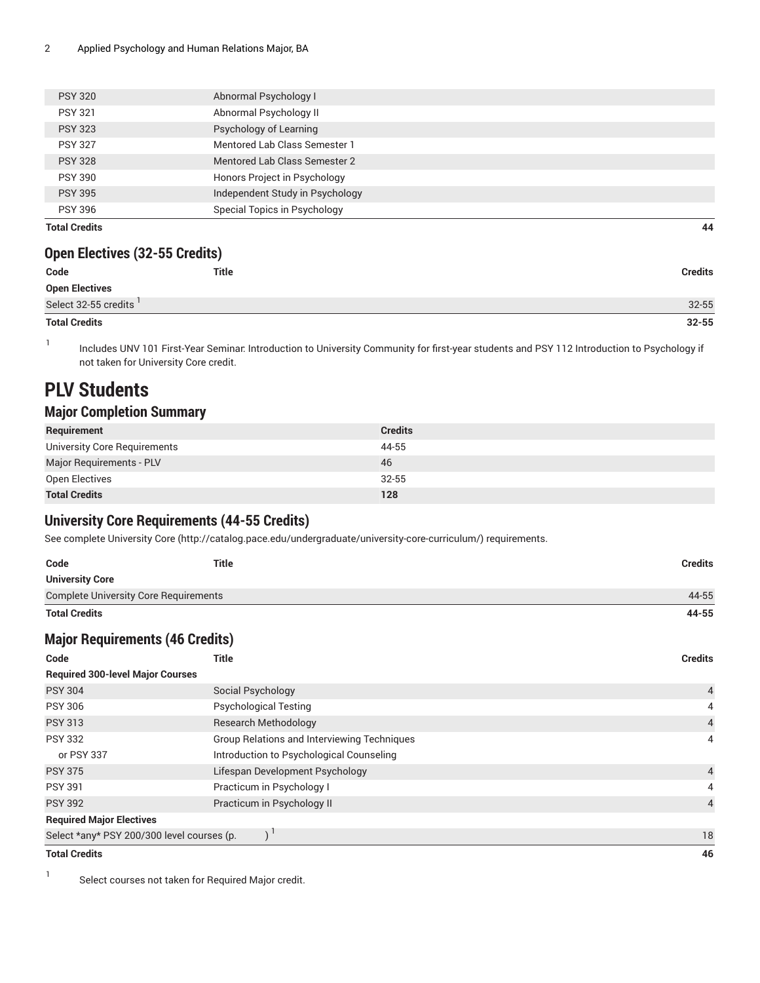| <b>Total Credits</b> |                                 | 44 |
|----------------------|---------------------------------|----|
| <b>PSY 396</b>       | Special Topics in Psychology    |    |
| <b>PSY 395</b>       | Independent Study in Psychology |    |
| <b>PSY 390</b>       | Honors Project in Psychology    |    |
| <b>PSY 328</b>       | Mentored Lab Class Semester 2   |    |
| <b>PSY 327</b>       | Mentored Lab Class Semester 1   |    |
| <b>PSY 323</b>       | Psychology of Learning          |    |
| <b>PSY 321</b>       | Abnormal Psychology II          |    |
| <b>PSY 320</b>       | Abnormal Psychology I           |    |
|                      |                                 |    |

#### **Open Electives (32-55 Credits)**

| Code                  | <b>Title</b> | Credits   |
|-----------------------|--------------|-----------|
| <b>Open Electives</b> |              |           |
| Select 32-55 credits  |              | $32 - 55$ |
| <b>Total Credits</b>  |              | $32 - 55$ |

1 Includes UNV 101 First-Year Seminar: Introduction to University Community for first-year students and PSY 112 Introduction to Psychology if not taken for University Core credit.

## **PLV Students**

### **Major Completion Summary**

| Requirement                  | <b>Credits</b> |
|------------------------------|----------------|
| University Core Requirements | 44-55          |
| Major Requirements - PLV     | 46             |
| Open Electives               | $32 - 55$      |
| <b>Total Credits</b>         | 128            |

### **University Core Requirements (44-55 Credits)**

See complete [University](http://catalog.pace.edu/undergraduate/university-core-curriculum/) Core (<http://catalog.pace.edu/undergraduate/university-core-curriculum/>) requirements.

| Code                                         | Title | Credits |
|----------------------------------------------|-------|---------|
| <b>University Core</b>                       |       |         |
| <b>Complete University Core Requirements</b> |       | 44-55   |
| <b>Total Credits</b>                         |       | 44-55   |

### **Major Requirements (46 Credits)**

| Code                                       | Title                                              | <b>Credits</b> |
|--------------------------------------------|----------------------------------------------------|----------------|
| <b>Required 300-level Major Courses</b>    |                                                    |                |
| <b>PSY 304</b>                             | Social Psychology                                  | $\overline{4}$ |
| <b>PSY 306</b>                             | <b>Psychological Testing</b>                       | 4              |
| <b>PSY 313</b>                             | <b>Research Methodology</b>                        | $\overline{4}$ |
| <b>PSY 332</b>                             | <b>Group Relations and Interviewing Techniques</b> | $\overline{4}$ |
| or PSY 337                                 | Introduction to Psychological Counseling           |                |
| <b>PSY 375</b>                             | Lifespan Development Psychology                    | $\overline{4}$ |
| <b>PSY 391</b>                             | Practicum in Psychology I                          | 4              |
| <b>PSY 392</b>                             | Practicum in Psychology II                         | $\overline{4}$ |
| <b>Required Major Electives</b>            |                                                    |                |
| Select *any* PSY 200/300 level courses (p. |                                                    | 18             |
| <b>Total Credits</b>                       |                                                    | 46             |

1 Select courses not taken for Required Major credit.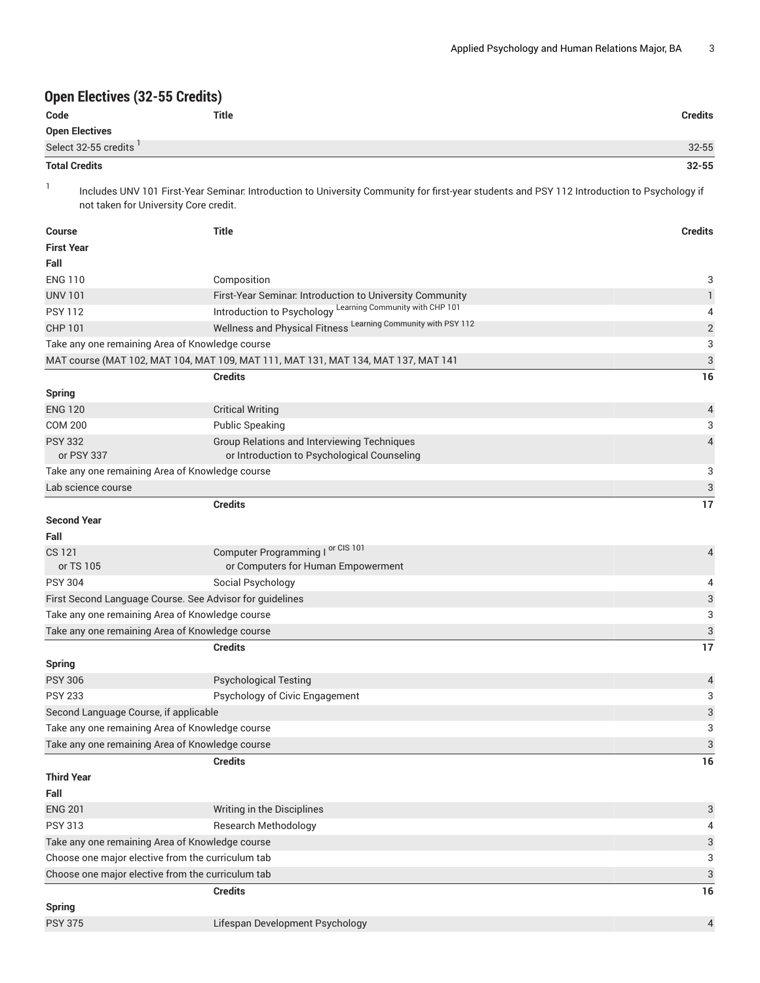### **Open Electives (32-55 Credits)**

| Code                  | <b>Title</b> | <b>Credits</b> |
|-----------------------|--------------|----------------|
| <b>Open Electives</b> |              |                |
| Select 32-55 credits  |              | $32 - 55$      |
| <b>Total Credits</b>  |              | $32 - 55$      |

1

Includes UNV 101 First-Year Seminar: Introduction to University Community for first-year students and PSY 112 Introduction to Psychology if not taken for University Core credit.

| <b>Course</b>                         | <b>Title</b>                                                                       | <b>Credits</b>           |
|---------------------------------------|------------------------------------------------------------------------------------|--------------------------|
| <b>First Year</b>                     |                                                                                    |                          |
| Fall                                  |                                                                                    |                          |
| <b>ENG 110</b>                        | Composition                                                                        | 3                        |
| <b>UNV 101</b>                        | First-Year Seminar. Introduction to University Community                           | $\mathbf{1}$             |
| <b>PSY 112</b>                        | Introduction to Psychology Learning Community with CHP 101                         | 4                        |
| <b>CHP 101</b>                        | Wellness and Physical Fitness Learning Community with PSY 112                      | $\overline{2}$           |
|                                       | Take any one remaining Area of Knowledge course                                    | 3                        |
|                                       | MAT course (MAT 102, MAT 104, MAT 109, MAT 111, MAT 131, MAT 134, MAT 137, MAT 141 | 3                        |
|                                       | <b>Credits</b>                                                                     | 16                       |
| <b>Spring</b>                         |                                                                                    |                          |
| <b>ENG 120</b>                        | <b>Critical Writing</b>                                                            | $\overline{\mathcal{A}}$ |
| <b>COM 200</b>                        | <b>Public Speaking</b>                                                             | 3                        |
| <b>PSY 332</b>                        | Group Relations and Interviewing Techniques                                        | $\overline{4}$           |
| or PSY 337                            | or Introduction to Psychological Counseling                                        |                          |
|                                       | Take any one remaining Area of Knowledge course                                    | 3                        |
| Lab science course                    |                                                                                    | 3                        |
|                                       | <b>Credits</b>                                                                     | 17                       |
| <b>Second Year</b>                    |                                                                                    |                          |
| Fall                                  |                                                                                    |                          |
| CS 121                                | Computer Programming I or CIS 101                                                  | $\overline{\mathcal{A}}$ |
| or TS 105                             | or Computers for Human Empowerment                                                 |                          |
| <b>PSY 304</b>                        | Social Psychology                                                                  | 4                        |
|                                       | First Second Language Course. See Advisor for guidelines                           | 3                        |
|                                       | Take any one remaining Area of Knowledge course                                    | 3                        |
|                                       | Take any one remaining Area of Knowledge course                                    | 3                        |
|                                       | <b>Credits</b>                                                                     | 17                       |
| <b>Spring</b>                         |                                                                                    |                          |
| <b>PSY 306</b>                        | <b>Psychological Testing</b>                                                       | $\overline{A}$           |
| <b>PSY 233</b>                        | Psychology of Civic Engagement                                                     | 3                        |
| Second Language Course, if applicable |                                                                                    | 3                        |
|                                       | Take any one remaining Area of Knowledge course                                    | 3                        |
|                                       | Take any one remaining Area of Knowledge course                                    | 3                        |
|                                       | <b>Credits</b>                                                                     | 16                       |
| Third Year                            |                                                                                    |                          |
| Fall                                  |                                                                                    |                          |
| <b>ENG 201</b>                        | Writing in the Disciplines                                                         | 3                        |
| <b>PSY 313</b>                        | Research Methodology                                                               | 4                        |
|                                       | Take any one remaining Area of Knowledge course                                    | 3                        |
|                                       | Choose one major elective from the curriculum tab                                  | 3                        |
|                                       | Choose one major elective from the curriculum tab                                  | 3                        |
|                                       | <b>Credits</b>                                                                     | 16                       |
| <b>Spring</b>                         |                                                                                    |                          |
| <b>PSY 375</b>                        | Lifespan Development Psychology                                                    | $\overline{4}$           |